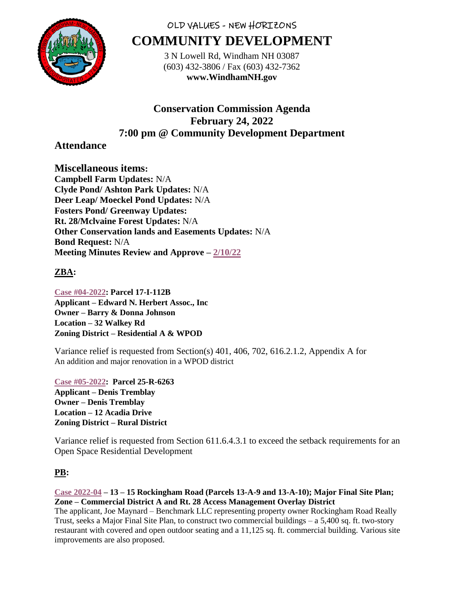

# OLD VALUES - NEW HORIZONS **COMMUNITY DEVELOPMENT**

3 N Lowell Rd, Windham NH 03087 (603) 432-3806 / Fax (603) 432-7362 **www.WindhamNH.gov**

# **Conservation Commission Agenda February 24, 2022 7:00 pm @ Community Development Department**

## **Attendance**

**Miscellaneous items: Campbell Farm Updates:** N/A **Clyde Pond/ Ashton Park Updates:** N/A **Deer Leap/ Moeckel Pond Updates:** N/A **Fosters Pond/ Greenway Updates: Rt. 28/Mclvaine Forest Updates:** N/A **Other Conservation lands and Easements Updates:** N/A **Bond Request:** N/A **Meeting Minutes Review and Approve – [2/10/22](https://www.windhamnh.gov/DocumentCenter/Index/825)**

### **ZBA:**

**[Case #04-2022:](https://www.windhamnh.gov/DocumentCenter/Index/915) Parcel 17-I-112B Applicant – Edward N. Herbert Assoc., Inc Owner – Barry & Donna Johnson Location – 32 Walkey Rd Zoning District – Residential A & WPOD**

Variance relief is requested from Section(s) 401, 406, 702, 616.2.1.2, Appendix A for An addition and major renovation in a WPOD district

**[Case #05-2022:](https://www.windhamnh.gov/DocumentCenter/Index/916) Parcel 25-R-6263 Applicant – Denis Tremblay Owner – Denis Tremblay Location – 12 Acadia Drive Zoning District – Rural District**

Variance relief is requested from Section 611.6.4.3.1 to exceed the setback requirements for an Open Space Residential Development

### **PB:**

#### **[Case 2022-04](https://www.windhamnh.gov/DocumentCenter/Index/905) – 13 – 15 Rockingham Road (Parcels 13-A-9 and 13-A-10); Major Final Site Plan; Zone – Commercial District A and Rt. 28 Access Management Overlay District**

The applicant, Joe Maynard – Benchmark LLC representing property owner Rockingham Road Really Trust, seeks a Major Final Site Plan, to construct two commercial buildings – a 5,400 sq. ft. two-story restaurant with covered and open outdoor seating and a 11,125 sq. ft. commercial building. Various site improvements are also proposed.